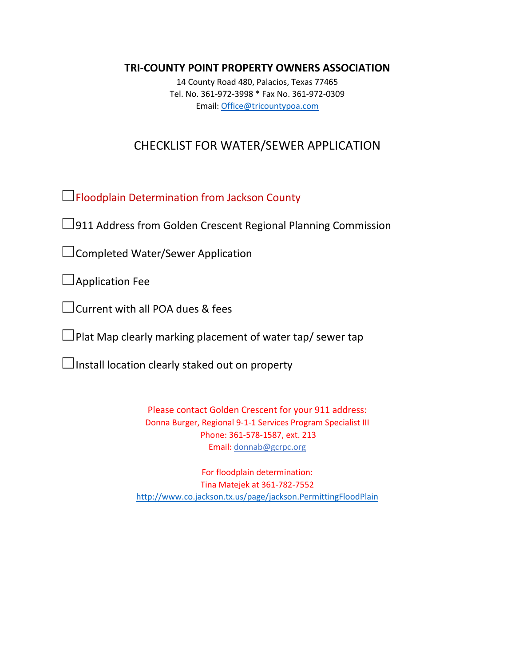### **TRI-COUNTY POINT PROPERTY OWNERS ASSOCIATION**

14 County Road 480, Palacios, Texas 77465 Tel. No. 361-972-3998 \* Fax No. 361-972-0309 Email: [Office@tricountypoa.com](mailto:Office@tricountypoa.com)

# CHECKLIST FOR WATER/SEWER APPLICATION

☐Floodplain Determination from Jackson County

 $\Box$ 911 Address from Golden Crescent Regional Planning Commission

□Completed Water/Sewer Application

 $\Box$ Application Fee

□Current with all POA dues & fees

 $\Box$ Plat Map clearly marking placement of water tap/ sewer tap

 $\Box$ Install location clearly staked out on property

Please contact Golden Crescent for your 911 address: Donna Burger, Regional 9-1-1 Services Program Specialist III Phone: 361-578-1587, ext. 213 Email: [donnab@gcrpc.org](mailto:donnab@gcrpc.org)

For floodplain determination: Tina Matejek at 361-782-7552 <http://www.co.jackson.tx.us/page/jackson.PermittingFloodPlain>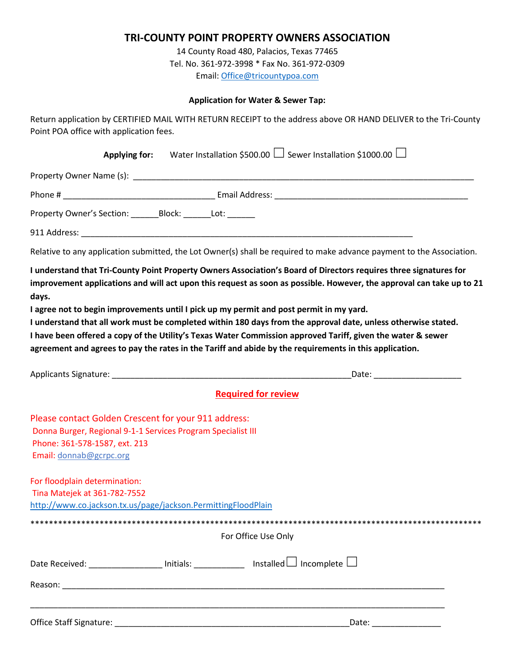## **TRI-COUNTY POINT PROPERTY OWNERS ASSOCIATION**

14 County Road 480, Palacios, Texas 77465 Tel. No. 361-972-3998 \* Fax No. 361-972-0309 Email: [Office@tricountypoa.com](mailto:Office@tricountypoa.com)

#### **Application for Water & Sewer Tap:**

Return application by CERTIFIED MAIL WITH RETURN RECEIPT to the address above OR HAND DELIVER to the Tri-County Point POA office with application fees.

|                                                                                                                                                                                  | Applying for: Water Installation \$500.00 $\Box$ Sewer Installation \$1000.00 $\Box$                                                                                                                                                                                                                                                                                                                                                                                                                                                                                                                                                                                           |
|----------------------------------------------------------------------------------------------------------------------------------------------------------------------------------|--------------------------------------------------------------------------------------------------------------------------------------------------------------------------------------------------------------------------------------------------------------------------------------------------------------------------------------------------------------------------------------------------------------------------------------------------------------------------------------------------------------------------------------------------------------------------------------------------------------------------------------------------------------------------------|
|                                                                                                                                                                                  |                                                                                                                                                                                                                                                                                                                                                                                                                                                                                                                                                                                                                                                                                |
|                                                                                                                                                                                  |                                                                                                                                                                                                                                                                                                                                                                                                                                                                                                                                                                                                                                                                                |
| Property Owner's Section: _______Block: _______Lot: ______                                                                                                                       |                                                                                                                                                                                                                                                                                                                                                                                                                                                                                                                                                                                                                                                                                |
|                                                                                                                                                                                  |                                                                                                                                                                                                                                                                                                                                                                                                                                                                                                                                                                                                                                                                                |
|                                                                                                                                                                                  | Relative to any application submitted, the Lot Owner(s) shall be required to make advance payment to the Association.                                                                                                                                                                                                                                                                                                                                                                                                                                                                                                                                                          |
| days.                                                                                                                                                                            | I understand that Tri-County Point Property Owners Association's Board of Directors requires three signatures for<br>improvement applications and will act upon this request as soon as possible. However, the approval can take up to 21<br>I agree not to begin improvements until I pick up my permit and post permit in my yard.<br>I understand that all work must be completed within 180 days from the approval date, unless otherwise stated.<br>I have been offered a copy of the Utility's Texas Water Commission approved Tariff, given the water & sewer<br>agreement and agrees to pay the rates in the Tariff and abide by the requirements in this application. |
|                                                                                                                                                                                  |                                                                                                                                                                                                                                                                                                                                                                                                                                                                                                                                                                                                                                                                                |
|                                                                                                                                                                                  | <b>Required for review</b>                                                                                                                                                                                                                                                                                                                                                                                                                                                                                                                                                                                                                                                     |
| Please contact Golden Crescent for your 911 address:<br>Donna Burger, Regional 9-1-1 Services Program Specialist III<br>Phone: 361-578-1587, ext. 213<br>Email: donnab@gcrpc.org |                                                                                                                                                                                                                                                                                                                                                                                                                                                                                                                                                                                                                                                                                |
| For floodplain determination:<br>Tina Matejek at 361-782-7552<br>http://www.co.jackson.tx.us/page/jackson.PermittingFloodPlain                                                   |                                                                                                                                                                                                                                                                                                                                                                                                                                                                                                                                                                                                                                                                                |
|                                                                                                                                                                                  |                                                                                                                                                                                                                                                                                                                                                                                                                                                                                                                                                                                                                                                                                |
|                                                                                                                                                                                  | For Office Use Only                                                                                                                                                                                                                                                                                                                                                                                                                                                                                                                                                                                                                                                            |
|                                                                                                                                                                                  | Date Received: ___________________ Initials: _____________ Installed LJ Incomplete                                                                                                                                                                                                                                                                                                                                                                                                                                                                                                                                                                                             |
|                                                                                                                                                                                  |                                                                                                                                                                                                                                                                                                                                                                                                                                                                                                                                                                                                                                                                                |
|                                                                                                                                                                                  | Date: ________________                                                                                                                                                                                                                                                                                                                                                                                                                                                                                                                                                                                                                                                         |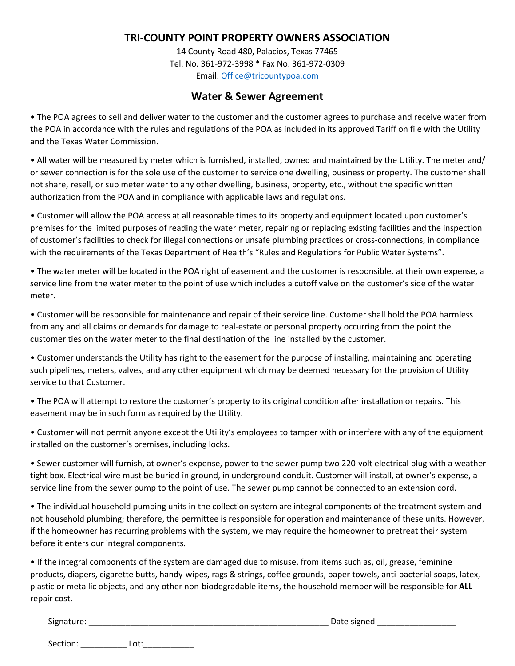# **TRI-COUNTY POINT PROPERTY OWNERS ASSOCIATION**

14 County Road 480, Palacios, Texas 77465 Tel. No. 361-972-3998 \* Fax No. 361-972-0309 Email: [Office@tricountypoa.com](mailto:Office@tricountypoa.com)

### **Water & Sewer Agreement**

• The POA agrees to sell and deliver water to the customer and the customer agrees to purchase and receive water from the POA in accordance with the rules and regulations of the POA as included in its approved Tariff on file with the Utility and the Texas Water Commission.

• All water will be measured by meter which is furnished, installed, owned and maintained by the Utility. The meter and/ or sewer connection is for the sole use of the customer to service one dwelling, business or property. The customer shall not share, resell, or sub meter water to any other dwelling, business, property, etc., without the specific written authorization from the POA and in compliance with applicable laws and regulations.

• Customer will allow the POA access at all reasonable times to its property and equipment located upon customer's premises for the limited purposes of reading the water meter, repairing or replacing existing facilities and the inspection of customer's facilities to check for illegal connections or unsafe plumbing practices or cross-connections, in compliance with the requirements of the Texas Department of Health's "Rules and Regulations for Public Water Systems".

• The water meter will be located in the POA right of easement and the customer is responsible, at their own expense, a service line from the water meter to the point of use which includes a cutoff valve on the customer's side of the water meter.

• Customer will be responsible for maintenance and repair of their service line. Customer shall hold the POA harmless from any and all claims or demands for damage to real-estate or personal property occurring from the point the customer ties on the water meter to the final destination of the line installed by the customer.

• Customer understands the Utility has right to the easement for the purpose of installing, maintaining and operating such pipelines, meters, valves, and any other equipment which may be deemed necessary for the provision of Utility service to that Customer.

• The POA will attempt to restore the customer's property to its original condition after installation or repairs. This easement may be in such form as required by the Utility.

• Customer will not permit anyone except the Utility's employees to tamper with or interfere with any of the equipment installed on the customer's premises, including locks.

• Sewer customer will furnish, at owner's expense, power to the sewer pump two 220-volt electrical plug with a weather tight box. Electrical wire must be buried in ground, in underground conduit. Customer will install, at owner's expense, a service line from the sewer pump to the point of use. The sewer pump cannot be connected to an extension cord.

• The individual household pumping units in the collection system are integral components of the treatment system and not household plumbing; therefore, the permittee is responsible for operation and maintenance of these units. However, if the homeowner has recurring problems with the system, we may require the homeowner to pretreat their system before it enters our integral components.

• If the integral components of the system are damaged due to misuse, from items such as, oil, grease, feminine products, diapers, cigarette butts, handy-wipes, rags & strings, coffee grounds, paper towels, anti-bacterial soaps, latex, plastic or metallic objects, and any other non-biodegradable items, the household member will be responsible for **ALL** repair cost.

Section: Lot: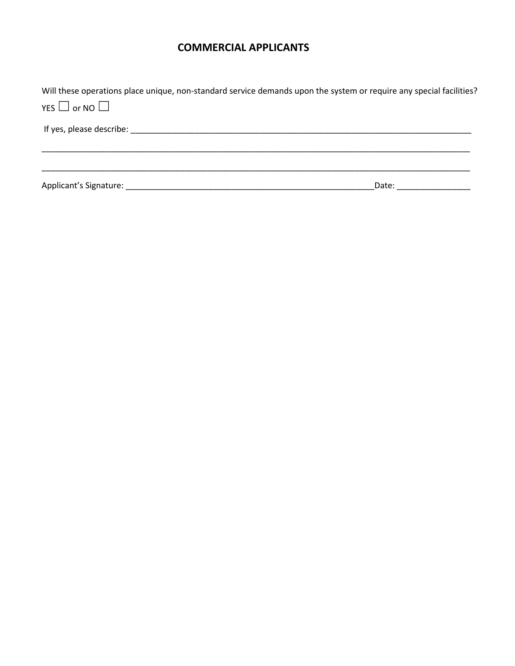# **COMMERCIAL APPLICANTS**

Will these operations place unique, non-standard service demands upon the system or require any special facilities? YES  $\Box$  or NO $\Box$ If yes, please describe: \_\_\_\_\_\_\_\_\_\_\_\_\_\_\_\_\_\_\_\_\_\_\_\_\_\_\_\_\_\_\_\_\_\_\_\_\_\_\_\_\_\_\_\_\_\_\_\_\_\_\_\_\_\_\_\_\_\_\_\_\_\_\_\_\_\_\_\_\_\_\_\_\_\_ \_\_\_\_\_\_\_\_\_\_\_\_\_\_\_\_\_\_\_\_\_\_\_\_\_\_\_\_\_\_\_\_\_\_\_\_\_\_\_\_\_\_\_\_\_\_\_\_\_\_\_\_\_\_\_\_\_\_\_\_\_\_\_\_\_\_\_\_\_\_\_\_\_\_\_\_\_\_\_\_\_\_\_\_\_\_\_\_\_\_\_\_\_ \_\_\_\_\_\_\_\_\_\_\_\_\_\_\_\_\_\_\_\_\_\_\_\_\_\_\_\_\_\_\_\_\_\_\_\_\_\_\_\_\_\_\_\_\_\_\_\_\_\_\_\_\_\_\_\_\_\_\_\_\_\_\_\_\_\_\_\_\_\_\_\_\_\_\_\_\_\_\_\_\_\_\_\_\_\_\_\_\_\_\_\_\_ Applicant's Signature: \_\_\_\_\_\_\_\_\_\_\_\_\_\_\_\_\_\_\_\_\_\_\_\_\_\_\_\_\_\_\_\_\_\_\_\_\_\_\_\_\_\_\_\_\_\_\_\_\_\_\_\_\_\_Date: \_\_\_\_\_\_\_\_\_\_\_\_\_\_\_\_